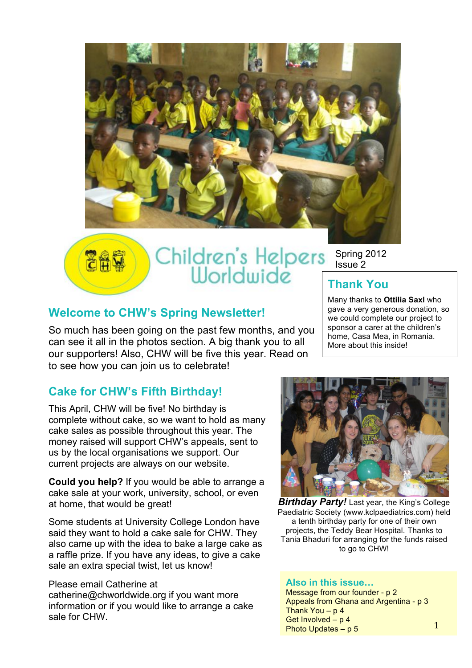



# Children's Helpers Spring 2012<br>Worldwide Thank You

Spring 2012 Issue 2

Many thanks to **Ottilia Saxl** who gave a very generous donation, so we could complete our project to sponsor a carer at the children's home, Casa Mea, in Romania. More about this inside!

## **Welcome to CHW's Spring Newsletter!**

So much has been going on the past few months, and you can see it all in the photos section. A big thank you to all our supporters! Also, CHW will be five this year. Read on to see how you can join us to celebrate!

# **Cake for CHW's Fifth Birthday!**

This April, CHW will be five! No birthday is complete without cake, so we want to hold as many cake sales as possible throughout this year. The money raised will support CHW's appeals, sent to us by the local organisations we support. Our current projects are always on our website.

**Could you help?** If you would be able to arrange a cake sale at your work, university, school, or even at home, that would be great!

Some students at University College London have said they want to hold a cake sale for CHW. They also came up with the idea to bake a large cake as a raffle prize. If you have any ideas, to give a cake sale an extra special twist, let us know!

#### Please email Catherine at

catherine@chworldwide.org if you want more information or if you would like to arrange a cake sale for CHW.



**Birthday Party!** Last year, the King's College Paediatric Society (www.kclpaediatrics.com) held a tenth birthday party for one of their own projects, the Teddy Bear Hospital. Thanks to Tania Bhaduri for arranging for the funds raised to go to CHW!

#### **Also in this issue…**

Message from our founder - p 2 Appeals from Ghana and Argentina - p 3 Thank You  $- p 4$ Get Involved – p 4 Photo Updates – p 5

1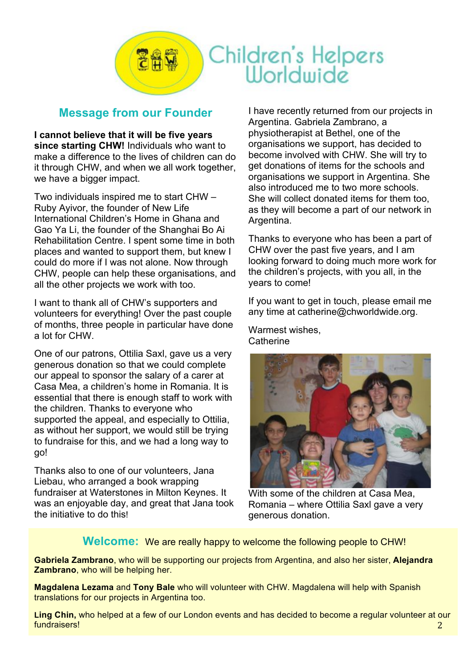

### **Message from our Founder**

**I cannot believe that it will be five years since starting CHW!** Individuals who want to make a difference to the lives of children can do it through CHW, and when we all work together, we have a bigger impact.

Two individuals inspired me to start CHW – Ruby Ayivor, the founder of New Life International Children's Home in Ghana and Gao Ya Li, the founder of the Shanghai Bo Ai Rehabilitation Centre. I spent some time in both places and wanted to support them, but knew I could do more if I was not alone. Now through CHW, people can help these organisations, and all the other projects we work with too.

I want to thank all of CHW's supporters and volunteers for everything! Over the past couple of months, three people in particular have done a lot for CHW.

One of our patrons, Ottilia Saxl, gave us a very generous donation so that we could complete our appeal to sponsor the salary of a carer at Casa Mea, a children's home in Romania. It is essential that there is enough staff to work with the children. Thanks to everyone who supported the appeal, and especially to Ottilia, as without her support, we would still be trying to fundraise for this, and we had a long way to go!

Thanks also to one of our volunteers, Jana Liebau, who arranged a book wrapping fundraiser at Waterstones in Milton Keynes. It was an enjoyable day, and great that Jana took the initiative to do this!

I have recently returned from our projects in Argentina. Gabriela Zambrano, a physiotherapist at Bethel, one of the organisations we support, has decided to become involved with CHW. She will try to get donations of items for the schools and organisations we support in Argentina. She also introduced me to two more schools. She will collect donated items for them too, as they will become a part of our network in Argentina.

Thanks to everyone who has been a part of CHW over the past five years, and I am looking forward to doing much more work for the children's projects, with you all, in the years to come!

If you want to get in touch, please email me any time at catherine@chworldwide.org.

Warmest wishes, **Catherine** 



With some of the children at Casa Mea, Romania – where Ottilia Saxl gave a very generous donation.

**Welcome:** We are really happy to welcome the following people to CHW!

**Gabriela Zambrano**, who will be supporting our projects from Argentina, and also her sister, **Alejandra Zambrano**, who will be helping her.

**Magdalena Lezama** and **Tony Bale** who will volunteer with CHW. Magdalena will help with Spanish translations for our projects in Argentina too.

**Ling Chin,** who helped at a few of our London events and has decided to become a regular volunteer at our fundraisers! 2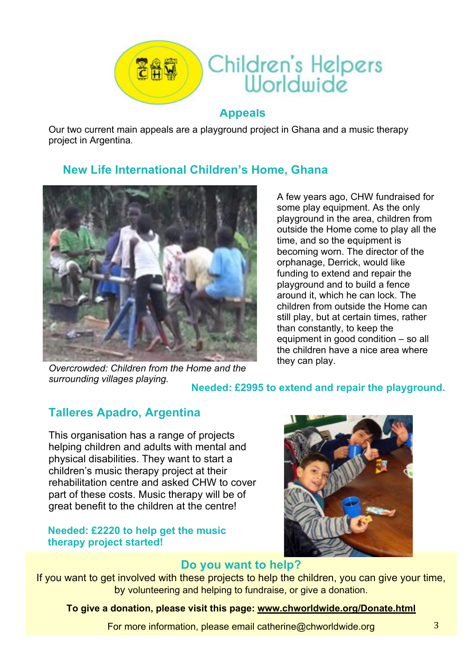

Our two current main appeals are a playground project in Ghana and a music therapy project in Argentina.

## **New Life International Children's Home, Ghana**



A few years ago, CHW fundraised for some play equipment. As the only playground in the area, children from outside the Home come to play all the time, and so the equipment is becoming worn. The director of the orphanage, Derrick, would like funding to extend and repair the playground and to build a fence around it, which he can lock. The children from outside the Home can still play, but at certain times, rather than constantly, to keep the equipment in good condition – so all the children have a nice area where they can play.

*Overcrowded: Children from the Home and the* 

*surrounding villages playing.* **Needed: £2995 to extend and repair the playground.**

# **Talleres Apadro, Argentina**

This organisation has a range of projects helping children and adults with mental and physical disabilities. They want to start a children's music therapy project at their rehabilitation centre and asked CHW to cover part of these costs. Music therapy will be of great benefit to the children at the centre!

#### **Needed: £2220 to help get the music therapy project started!**



#### **Do you want to help?**

If you want to get involved with these projects to help the children, you can give your time, by volunteering and helping to fundraise, or give a donation.

#### **To give a donation, please visit this page: www.chworldwide.org/Donate.html**

For more information, please email catherine@chworldwide.org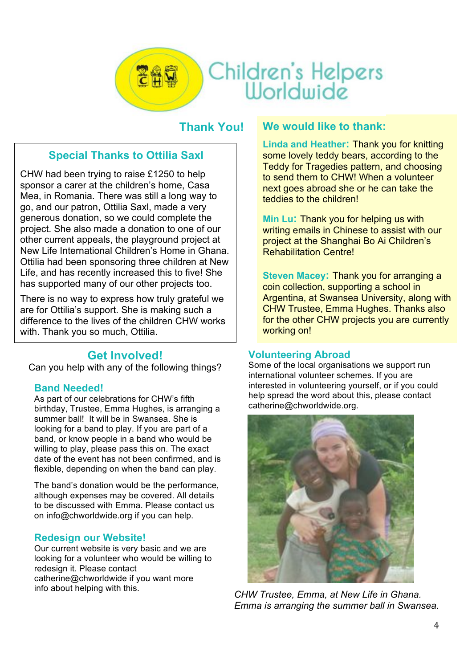

### **Thank You!**

## **Special Thanks to Ottilia Saxl**

CHW had been trying to raise £1250 to help sponsor a carer at the children's home, Casa Mea, in Romania. There was still a long way to go, and our patron, Ottilia Saxl, made a very generous donation, so we could complete the project. She also made a donation to one of our other current appeals, the playground project at New Life International Children's Home in Ghana. Ottilia had been sponsoring three children at New Life, and has recently increased this to five! She has supported many of our other projects too.

There is no way to express how truly grateful we are for Ottilia's support. She is making such a difference to the lives of the children CHW works with. Thank you so much, Ottilia.

#### **Get Involved!**

Can you help with any of the following things?

#### **Band Needed!**

As part of our celebrations for CHW's fifth birthday, Trustee, Emma Hughes, is arranging a summer ball! It will be in Swansea. She is looking for a band to play. If you are part of a band, or know people in a band who would be willing to play, please pass this on. The exact date of the event has not been confirmed, and is flexible, depending on when the band can play.

The band's donation would be the performance, although expenses may be covered. All details to be discussed with Emma. Please contact us on info@chworldwide.org if you can help.

#### **Redesign our Website!**

Our current website is very basic and we are looking for a volunteer who would be willing to redesign it. Please contact catherine@chworldwide if you want more info about helping with this.

#### **We would like to thank:**

**Linda and Heather:** Thank you for knitting some lovely teddy bears, according to the Teddy for Tragedies pattern, and choosing to send them to CHW! When a volunteer next goes abroad she or he can take the teddies to the children!

**Min Lu:** Thank you for helping us with writing emails in Chinese to assist with our project at the Shanghai Bo Ai Children's Rehabilitation Centre!

**Steven Macey:** Thank you for arranging a coin collection, supporting a school in Argentina, at Swansea University, along with CHW Trustee, Emma Hughes. Thanks also for the other CHW projects you are currently working on!

#### **Volunteering Abroad**

Some of the local organisations we support run international volunteer schemes. If you are interested in volunteering yourself, or if you could help spread the word about this, please contact catherine@chworldwide.org.



*CHW Trustee, Emma, at New Life in Ghana. Emma is arranging the summer ball in Swansea.*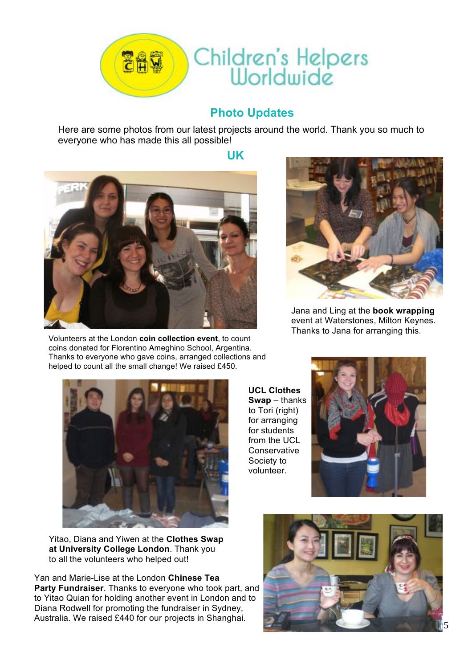

# **Photo Updates**

Here are some photos from our latest projects around the world. Thank you so much to everyone who has made this all possible!

**UK**



Volunteers at the London **coin collection event**, to count coins donated for Florentino Ameghino School, Argentina. Thanks to everyone who gave coins, arranged collections and helped to count all the small change! We raised £450.



Jana and Ling at the **book wrapping** event at Waterstones, Milton Keynes. Thanks to Jana for arranging this.



**UCL Clothes Swap** – thanks to Tori (right) for arranging for students from the UCL **Conservative** Society to volunteer.



Yitao, Diana and Yiwen at the **Clothes Swap at University College London**. Thank you to all the volunteers who helped out!

Yan and Marie-Lise at the London **Chinese Tea Party Fundraiser**. Thanks to everyone who took part, and to Yitao Quian for holding another event in London and to Diana Rodwell for promoting the fundraiser in Sydney, Australia. We raised £440 for our projects in Shanghai. <sup>5</sup>

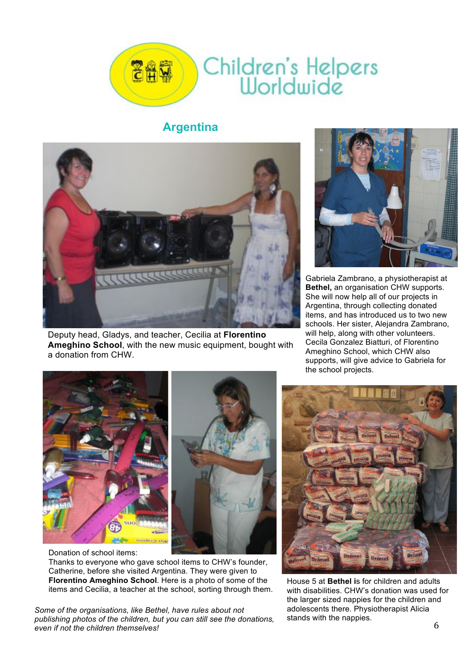

#### **Argentina**



Deputy head, Gladys, and teacher, Cecilia at **Florentino Ameghino School**, with the new music equipment, bought with a donation from CHW.



Gabriela Zambrano, a physiotherapist at **Bethel,** an organisation CHW supports. She will now help all of our projects in Argentina, through collecting donated items, and has introduced us to two new schools. Her sister, Alejandra Zambrano, will help, along with other volunteers. Cecila Gonzalez Biatturi, of Florentino Ameghino School, which CHW also supports, will give advice to Gabriela for the school projects.



Donation of school items:

Thanks to everyone who gave school items to CHW's founder, Catherine, before she visited Argentina. They were given to **Florentino Ameghino School**. Here is a photo of some of the items and Cecilia, a teacher at the school, sorting through them.

*Some of the organisations, like Bethel, have rules about not publishing photos of the children, but you can still see the donations, even if not the children themselves!* 6



House 5 at **Bethel i**s for children and adults with disabilities. CHW's donation was used for the larger sized nappies for the children and adolescents there. Physiotherapist Alicia stands with the nappies.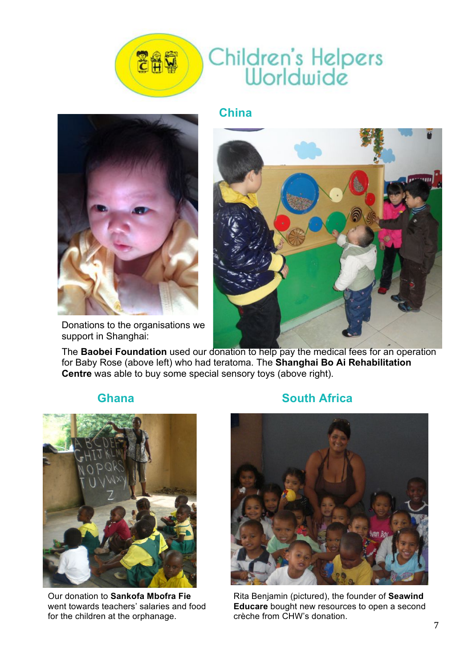

### **China**



Donations to the organisations we support in Shanghai:



The **Baobei Foundation** used our donation to help pay the medical fees for an operation for Baby Rose (above left) who had teratoma. The **Shanghai Bo Ai Rehabilitation Centre** was able to buy some special sensory toys (above right).



Our donation to **Sankofa Mbofra Fie**  went towards teachers' salaries and food for the children at the orphanage.

#### **Ghana South Africa**



Rita Benjamin (pictured), the founder of **Seawind Educare** bought new resources to open a second crèche from CHW's donation.